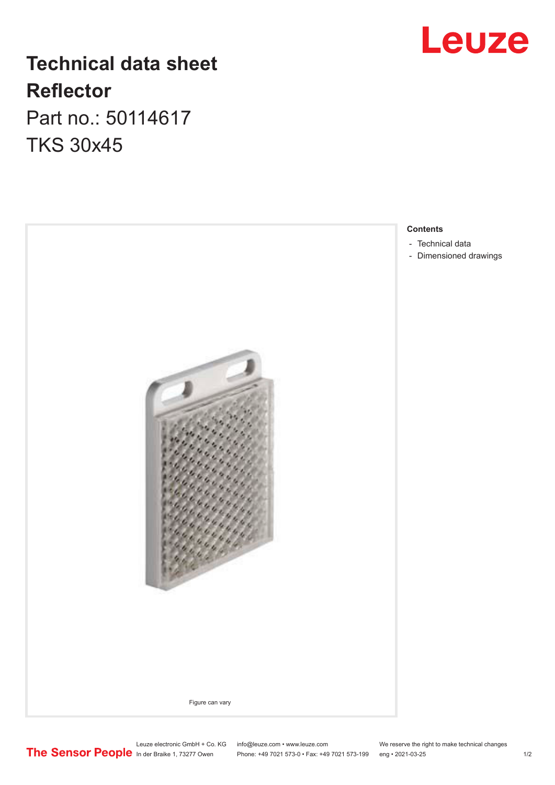## **Technical data sheet Reflector**

Part no.: 50114617 TKS 30x45



**Leuze** 

Leuze electronic GmbH + Co. KG info@leuze.com • www.leuze.com We reserve the right to make technical changes In der Braike 1, 73277 Owen Phone: +49 7021 573-0 • Fax: +49 7021 573-199 eng • 2021-03-25 1 /2